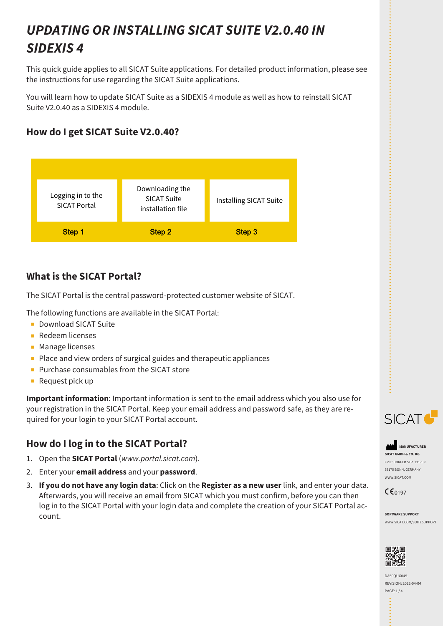# *UPDATING OR INSTALLING SICAT SUITE V2.0.40 IN SIDEXIS 4*

This quick guide applies to all SICAT Suite applications. For detailed product information, please see the instructions for use regarding the SICAT Suite applications.

You will learn how to update SICAT Suite as a SIDEXIS 4 module as well as how to reinstall SICAT Suite V2.0.40 as a SIDEXIS 4 module.

# **How do I get SICAT Suite V2.0.40?**



# **What is the SICAT Portal?**

The SICAT Portal is the central password-protected customer website of SICAT.

The following functions are available in the SICAT Portal:

- Download SICAT Suite
- Redeem licenses
- Manage licenses
- Place and view orders of surgical guides and therapeutic appliances
- Purchase consumables from the SICAT store
- Request pick up

**Important information**: Important information is sent to the email address which you also use for your registration in the SICAT Portal. Keep your email address and password safe, as they are required for your login to your SICAT Portal account.

# **How do I log in to the SICAT Portal?**

- 1. Open the **SICAT Portal** (*www.portal.sicat.com*).
- 2. Enter your **email address** and your **password**.
- 3. **If you do not have any login data**: Click on the **Register as a new user** link, and enter your data. Afterwards, you will receive an email from SICAT which you must confirm, before you can then log in to the SICAT Portal with your login data and complete the creation of your SICAT Portal account.



**MANUFACTURER SICAT GMBH & CO. KG** FRIESDORFER STR. 131-135 53175 BONN, GERMANY WWW.SICAT.COM

 $C \epsilon_{0197}$ 

**SOFTWARE SUPPORT** WWW.SICAT.COM/SUITESUPPORT



DA50QUG045 REVISION: 2022-04-04 PAGE: 1 / 4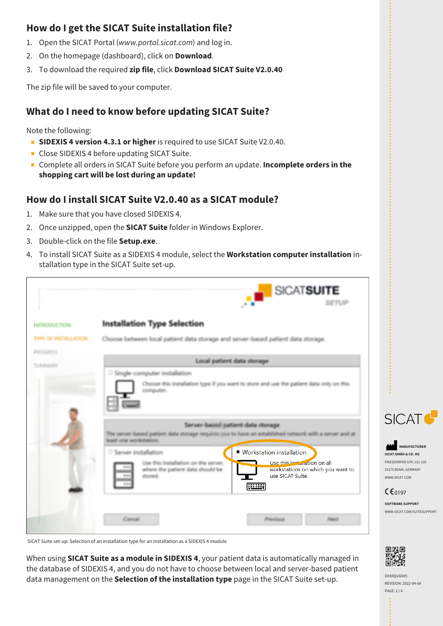# **How do I get the SICAT Suite installation file?**

- 1. Open the SICAT Portal (*www.portal.sicat.com*) and log in.
- 2. On the homepage (dashboard), click on **Download**.
- 3. To download the required **zip file**, click **Download SICAT Suite V2.0.40**

The zip file will be saved to your computer.

## **What do I need to know before updating SICAT Suite?**

Note the following:

- **B** SIDEXIS 4 version 4.3.1 or higher is required to use SICAT Suite V2.0.40.
- Close SIDEXIS 4 before updating SICAT Suite.
- Complete all orders in SICAT Suite before you perform an update. **Incomplete orders in the shopping cart will be lost during an update!**

### **How do I install SICAT Suite V2.0.40 as a SICAT module?**

- 1. Make sure that you have closed SIDEXIS 4.
- 2. Once unzipped, open the **SICAT Suite** folder in Windows Explorer.
- 3. Double-click on the file **Setup.exe**.
- 4. To install SICAT Suite as a SIDEXIS 4 module, select the **Workstation computer installation** installation type in the SICAT Suite set-up.

| <b>NTRODUCTION</b>                            | <b>Installation Type Selection</b>                                                                                                                                          |
|-----------------------------------------------|-----------------------------------------------------------------------------------------------------------------------------------------------------------------------------|
| <b><i>TYPE OF INSTALLATION</i></b>            | Choose between local patient data storage and server-based patient data storage.                                                                                            |
| <b>PROGRAMMENT</b><br><b>C. Bullistinance</b> | Local patient data storage                                                                                                                                                  |
|                                               | Single-computer installation<br>Choose this installation type if you want to store and use the patient data only on this<br>computer.<br>Server-baixed patient data storage |
|                                               | The server-based patient data storage requires you to have an established network with a server and at<br>least one workstation.                                            |
|                                               | ● Workstation installation<br>Server installation<br>Use this inclunation on all<br>Use this installation on the server,                                                    |

SICAT Suite set-up: Selection of an installation type for an installation as a SIDEXIS 4 module

When using **SICAT Suite as a module in SIDEXIS 4**, your patient data is automatically managed in the database of SIDEXIS 4, and you do not have to choose between local and server-based patient data management on the **Selection of the installation type** page in the SICAT Suite set-up.



**MANUFACTURER SICAT GMBH & CO. KG** FRIESDORFER STR. 131-135 53175 BONN, GERMANY WWW.SICAT.COM

#### $CE_{0197}$

**SOFTWARE SUPPORT** WWW.SICAT.COM/SUITESUPPORT



REVISION: 2022-04-04 PAGE: 2 / 4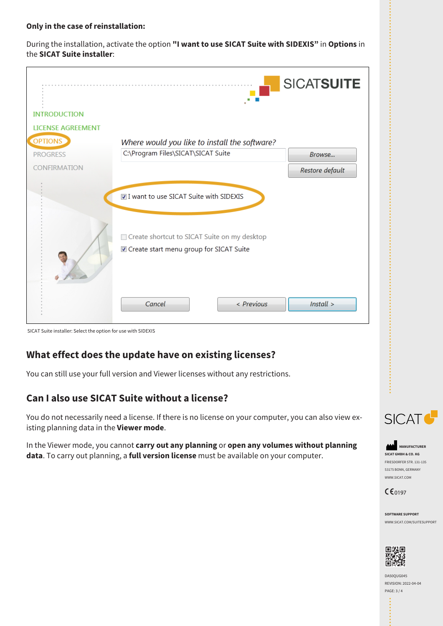#### **Only in the case of reinstallation:**

During the installation, activate the option **"I want to use SICAT Suite with SIDEXIS"** in **Options** in the **SICAT Suite installer**:



SICAT Suite installer: Select the option for use with SIDEXIS

### **What effect does the update have on existing licenses?**

You can still use your full version and Viewer licenses without any restrictions.

### **Can I also use SICAT Suite without a license?**

You do not necessarily need a license. If there is no license on your computer, you can also view existing planning data in the **Viewer mode**.

In the Viewer mode, you cannot **carry out any planning** or **open any volumes without planning data**. To carry out planning, a **full version license** must be available on your computer.



**MANUFACTURER SICAT GMBH & CO. KG** FRIESDORFER STR. 131-135 53175 BONN, GERMANY WWW.SICAT.COM

 $C \epsilon_{0197}$ 

**SOFTWARE SUPPORT** WWW.SICAT.COM/SUITESUPPORT



DA50QUG045 REVISION: 2022-04-04 PAGE: 3 / 4